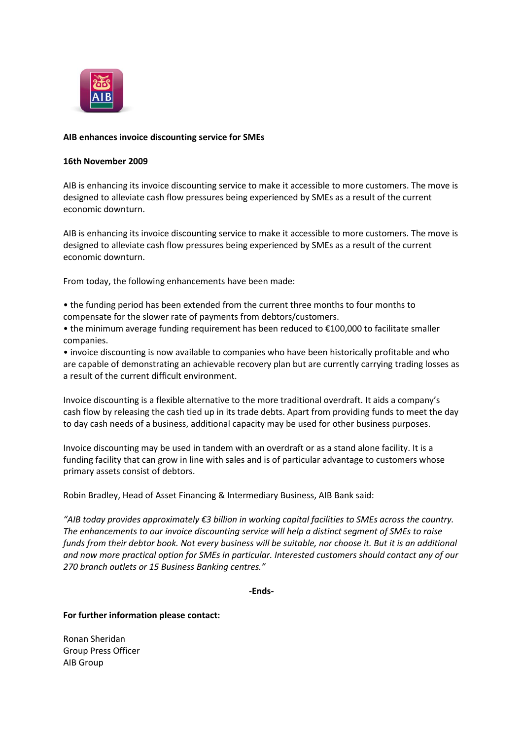

## **AIB enhances invoice discounting service for SMEs**

## **16th November 2009**

AIB is enhancing its invoice discounting service to make it accessible to more customers. The move is designed to alleviate cash flow pressures being experienced by SMEs as a result of the current economic downturn.

AIB is enhancing its invoice discounting service to make it accessible to more customers. The move is designed to alleviate cash flow pressures being experienced by SMEs as a result of the current economic downturn.

From today, the following enhancements have been made:

• the funding period has been extended from the current three months to four months to compensate for the slower rate of payments from debtors/customers.

• the minimum average funding requirement has been reduced to €100,000 to facilitate smaller companies.

• invoice discounting is now available to companies who have been historically profitable and who are capable of demonstrating an achievable recovery plan but are currently carrying trading losses as a result of the current difficult environment.

Invoice discounting is a flexible alternative to the more traditional overdraft. It aids a company's cash flow by releasing the cash tied up in its trade debts. Apart from providing funds to meet the day to day cash needs of a business, additional capacity may be used for other business purposes.

Invoice discounting may be used in tandem with an overdraft or as a stand alone facility. It is a funding facility that can grow in line with sales and is of particular advantage to customers whose primary assets consist of debtors.

Robin Bradley, Head of Asset Financing & Intermediary Business, AIB Bank said:

*"AIB today provides approximately €3 billion in working capital facilities to SMEs across the country. The enhancements to our invoice discounting service will help a distinct segment of SMEs to raise funds from their debtor book. Not every business will be suitable, nor choose it. But it is an additional and now more practical option for SMEs in particular. Interested customers should contact any of our 270 branch outlets or 15 Business Banking centres."*

**-Ends-**

**For further information please contact:**

Ronan Sheridan Group Press Officer AIB Group